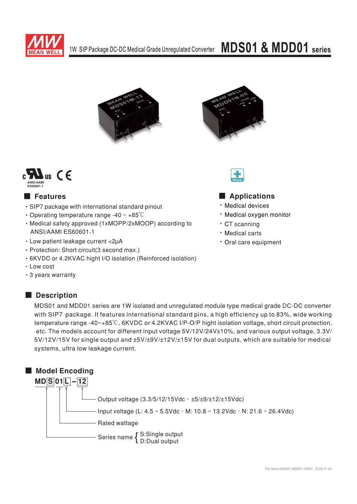

# **MDS01 & MDD01** series







### **E** Features

- · SIP7 package with international standard pinout
- Operating temperature range -40  $\sim$  +85 $\degree$ C
- Medical safety approved (1xMOPP/2xMOOP) according to **ANSI/AAMI ES60601-1**
- Low patient leakage current <2µA
- · Protection: Short circuit(3 second max.)
- 6KVDC or 4.2KVAC hight I/O isolation (Reinforced isolation)
- Low cost
- 3 years warranty

### Description

## Applications

- · Medical devices
- · Medical oxvgen monitor
- · CT scanning
- · Medical carts
- · Oral care equipment

MDS01 and MDD01 series are 1W isolated and unregulated module type medical grade DC-DC converter with SIP7 package. It features international standard pins, a high efficiency up to 83%, wide working temperature range -40~+85°C, 6KVDC or 4.2KVAC I/P-O/P hight isolation voltage, short circuit protection, etc. The models account for different input voltage 5V/12V/24V±10%, and various output voltage, 3.3V/ 5V/12V/15V for single output and ±5V/±9V/±12V/±15V for dual outputs, which are suitable for medical systems, ultra low leakage current.

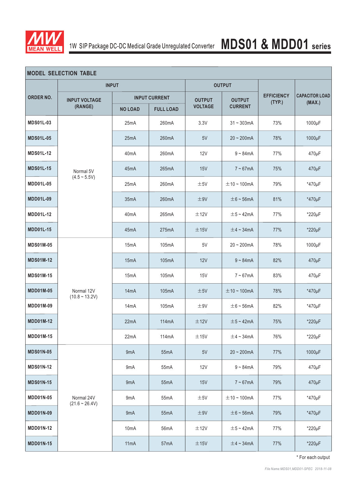

# 1W SIP Package DC-DC Medical Grade Unregulated Converter **MDS01 & MDD01 series**

| <b>MODEL SELECTION TABLE</b> |                                   |                      |                  |                |                  |                             |                       |  |
|------------------------------|-----------------------------------|----------------------|------------------|----------------|------------------|-----------------------------|-----------------------|--|
|                              | <b>INPUT</b>                      |                      |                  | <b>OUTPUT</b>  |                  |                             |                       |  |
| <b>ORDER NO.</b>             | <b>INPUT VOLTAGE</b><br>(RANGE)   | <b>INPUT CURRENT</b> |                  | <b>OUTPUT</b>  | <b>OUTPUT</b>    | <b>EFFICIENCY</b><br>(TYP.) | <b>CAPACITOR LOAD</b> |  |
|                              |                                   | <b>NO LOAD</b>       | <b>FULL LOAD</b> | <b>VOLTAGE</b> | <b>CURRENT</b>   |                             | (MAX.)                |  |
| <b>MDS01L-03</b>             | Normal 5V<br>$(4.5 \sim 5.5V)$    | 25mA                 | 260mA            | 3.3V           | $31 - 303$ mA    | 73%                         | 1000µF                |  |
| <b>MDS01L-05</b>             |                                   | 25mA                 | 260mA            | 5V             | $20 - 200mA$     | 78%                         | 1000µF                |  |
| <b>MDS01L-12</b>             |                                   | 40 <sub>m</sub> A    | 260mA            | 12V            | $9 - 84mA$       | 77%                         | 470µF                 |  |
| <b>MDS01L-15</b>             |                                   | 45mA                 | 265mA            | 15V            | $7 - 67mA$       | 75%                         | 470µF                 |  |
| <b>MDD01L-05</b>             |                                   | 25mA                 | 260mA            | ±5V            | $\pm$ 10 ~ 100mA | 79%                         | *470µF                |  |
| <b>MDD01L-09</b>             |                                   | 35mA                 | 260mA            | ±9V            | $\pm$ 6 ~ 56mA   | 81%                         | *470µF                |  |
| MDD01L-12                    |                                   | 40 <sub>m</sub> A    | 265mA            | ±12V           | $\pm$ 5 ~ 42mA   | 77%                         | $*220\mu F$           |  |
| <b>MDD01L-15</b>             |                                   | 45mA                 | 275mA            | ±15V           | $\pm$ 4 ~ 34mA   | 77%                         | $*220\mu F$           |  |
| <b>MDS01M-05</b>             |                                   | 15 <sub>m</sub> A    | 105mA            | 5V             | $20 - 200mA$     | 78%                         | 1000µF                |  |
| <b>MDS01M-12</b>             |                                   | 15mA                 | 105mA            | 12V            | $9 - 84mA$       | 82%                         | 470µF                 |  |
| <b>MDS01M-15</b>             |                                   | 15mA                 | 105mA            | <b>15V</b>     | $7 - 67mA$       | 83%                         | 470µF                 |  |
| <b>MDD01M-05</b>             | Normal 12V<br>$(10.8 \sim 13.2V)$ | 14mA                 | 105mA            | ±5V            | $\pm$ 10 ~ 100mA | 78%                         | *470µF                |  |
| <b>MDD01M-09</b>             |                                   | 14 <sub>m</sub> A    | 105mA            | ±9V            | $\pm$ 6 ~ 56mA   | 82%                         | *470µF                |  |
| <b>MDD01M-12</b>             |                                   | 22mA                 | 114mA            | ±12V           | $\pm$ 5 ~ 42mA   | 75%                         | *220µF                |  |
| <b>MDD01M-15</b>             |                                   | 22mA                 | 114mA            | ±15V           | $\pm$ 4 ~ 34mA   | 76%                         | $*220\mu F$           |  |
| <b>MDS01N-05</b>             |                                   | 9mA                  | 55mA             | 5V             | $20 \sim 200$ mA | 77%                         | 1000µF                |  |
| <b>MDS01N-12</b>             |                                   | 9mA                  | 55mA             | 12V            | $9 - 84mA$       | 79%                         | 470µF                 |  |
| <b>MDS01N-15</b>             | Normal 24V<br>$(21.6 \sim 26.4V)$ | 9 <sub>m</sub> A     | 55mA             | 15V            | $7 \sim 67$ mA   | 79%                         | 470µF                 |  |
| <b>MDD01N-05</b>             |                                   | 9mA                  | 55mA             | ±5V            | $\pm$ 10 ~ 100mA | 77%                         | *470µF                |  |
| <b>MDD01N-09</b>             |                                   | 9mA                  | 55mA             | ±9V            | $\pm$ 6 ~ 56 mA  | 79%                         | *470µF                |  |
| <b>MDD01N-12</b>             |                                   | 10 <sub>m</sub> A    | 56mA             | ±12V           | $\pm$ 5 ~ 42mA   | 77%                         | $*220\mu F$           |  |
| <b>MDD01N-15</b>             |                                   | 11 <sub>m</sub> A    | 57mA             | ±15V           | $\pm$ 4 ~ 34mA   | 77%                         | *220µF                |  |

\* For each output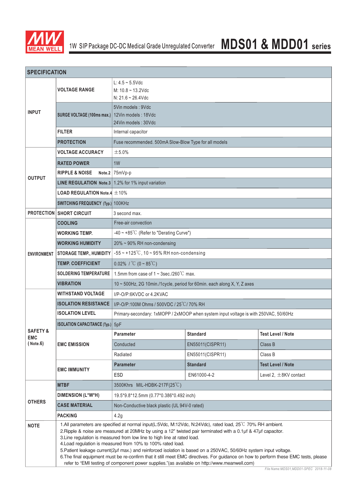

| <b>SPECIFICATION</b>              |                                                                            |                                                                                                                                                                                                                                                                                                                                                                                                                                                                                                                                                                                                                                                                                                                                    |                  |                            |  |  |  |
|-----------------------------------|----------------------------------------------------------------------------|------------------------------------------------------------------------------------------------------------------------------------------------------------------------------------------------------------------------------------------------------------------------------------------------------------------------------------------------------------------------------------------------------------------------------------------------------------------------------------------------------------------------------------------------------------------------------------------------------------------------------------------------------------------------------------------------------------------------------------|------------------|----------------------------|--|--|--|
|                                   | <b>VOLTAGE RANGE</b>                                                       | L: $4.5 \sim 5.5$ Vdc<br>M: $10.8 - 13.2$ Vdc<br>$N: 21.6 - 26.4$ Vdc                                                                                                                                                                                                                                                                                                                                                                                                                                                                                                                                                                                                                                                              |                  |                            |  |  |  |
| <b>INPUT</b>                      | SURGE VOLTAGE (100ms max.)                                                 | 5Vin models: 9Vdc<br>12Vin models: 18Vdc<br>24Vin models: 30Vdc                                                                                                                                                                                                                                                                                                                                                                                                                                                                                                                                                                                                                                                                    |                  |                            |  |  |  |
|                                   | <b>FILTER</b>                                                              | Internal capacitor                                                                                                                                                                                                                                                                                                                                                                                                                                                                                                                                                                                                                                                                                                                 |                  |                            |  |  |  |
|                                   | <b>PROTECTION</b><br>Fuse recommended. 500mA Slow-Blow Type for all models |                                                                                                                                                                                                                                                                                                                                                                                                                                                                                                                                                                                                                                                                                                                                    |                  |                            |  |  |  |
|                                   | <b>VOLTAGE ACCURACY</b>                                                    | ±5.0%                                                                                                                                                                                                                                                                                                                                                                                                                                                                                                                                                                                                                                                                                                                              |                  |                            |  |  |  |
|                                   | <b>RATED POWER</b>                                                         | 1 <sub>W</sub>                                                                                                                                                                                                                                                                                                                                                                                                                                                                                                                                                                                                                                                                                                                     |                  |                            |  |  |  |
|                                   | <b>RIPPLE &amp; NOISE</b>                                                  | Note.2 $ 75mVp-p$                                                                                                                                                                                                                                                                                                                                                                                                                                                                                                                                                                                                                                                                                                                  |                  |                            |  |  |  |
| <b>OUTPUT</b>                     | <b>LINE REGULATION Note.3</b> $\vert$ 1.2% for 1% input variation          |                                                                                                                                                                                                                                                                                                                                                                                                                                                                                                                                                                                                                                                                                                                                    |                  |                            |  |  |  |
|                                   | <b>LOAD REGULATION Note.4 <math>\pm</math>10%</b>                          |                                                                                                                                                                                                                                                                                                                                                                                                                                                                                                                                                                                                                                                                                                                                    |                  |                            |  |  |  |
|                                   | SWITCHING FREQUENCY (Typ.) 100KHz                                          |                                                                                                                                                                                                                                                                                                                                                                                                                                                                                                                                                                                                                                                                                                                                    |                  |                            |  |  |  |
|                                   | <b>PROTECTION SHORT CIRCUIT</b>                                            | 3 second max.                                                                                                                                                                                                                                                                                                                                                                                                                                                                                                                                                                                                                                                                                                                      |                  |                            |  |  |  |
|                                   | <b>COOLING</b>                                                             | Free-air convection                                                                                                                                                                                                                                                                                                                                                                                                                                                                                                                                                                                                                                                                                                                |                  |                            |  |  |  |
|                                   | <b>WORKING TEMP.</b>                                                       | $-40 \sim +85^{\circ}$ C (Refer to "Derating Curve")                                                                                                                                                                                                                                                                                                                                                                                                                                                                                                                                                                                                                                                                               |                  |                            |  |  |  |
|                                   | <b>WORKING HUMIDITY</b>                                                    | 20% ~ 90% RH non-condensing                                                                                                                                                                                                                                                                                                                                                                                                                                                                                                                                                                                                                                                                                                        |                  |                            |  |  |  |
| <b>ENVIRONMENT</b>                | <b>STORAGE TEMP., HUMIDITY</b>                                             | $-55 \sim +125^{\circ}$ C, 10 ~ 95% RH non-condensing                                                                                                                                                                                                                                                                                                                                                                                                                                                                                                                                                                                                                                                                              |                  |                            |  |  |  |
|                                   | <b>TEMP. COEFFICIENT</b>                                                   | 0.02% / $^{\circ}C$ (0 ~ 85 $^{\circ}C$ )                                                                                                                                                                                                                                                                                                                                                                                                                                                                                                                                                                                                                                                                                          |                  |                            |  |  |  |
|                                   | <b>SOLDERING TEMPERATURE</b>                                               | 1.5mm from case of $1 \sim 3$ sec./260 $\degree$ C max.                                                                                                                                                                                                                                                                                                                                                                                                                                                                                                                                                                                                                                                                            |                  |                            |  |  |  |
|                                   | <b>VIBRATION</b>                                                           | 10 ~ 500Hz, 2G 10min./1cycle, period for 60min. each along X, Y, Z axes                                                                                                                                                                                                                                                                                                                                                                                                                                                                                                                                                                                                                                                            |                  |                            |  |  |  |
|                                   | <b>WITHSTAND VOLTAGE</b>                                                   | I/P-O/P:6KVDC or 4.2KVAC                                                                                                                                                                                                                                                                                                                                                                                                                                                                                                                                                                                                                                                                                                           |                  |                            |  |  |  |
|                                   | <b>ISOLATION RESISTANCE</b>                                                | I/P-O/P:100M Ohms / 500VDC / 25°C / 70% RH                                                                                                                                                                                                                                                                                                                                                                                                                                                                                                                                                                                                                                                                                         |                  |                            |  |  |  |
|                                   | <b>ISOLATION LEVEL</b>                                                     | Primary-secondary: 1xMOPP / 2xMOOP when system input voltage is with 250VAC, 50/60Hz                                                                                                                                                                                                                                                                                                                                                                                                                                                                                                                                                                                                                                               |                  |                            |  |  |  |
|                                   | <b>ISOLATION CAPACITANCE (Typ.)</b>                                        | 5pF                                                                                                                                                                                                                                                                                                                                                                                                                                                                                                                                                                                                                                                                                                                                |                  |                            |  |  |  |
| <b>SAFETY &amp;</b><br><b>EMC</b> | <b>EMC EMISSION</b>                                                        | Parameter                                                                                                                                                                                                                                                                                                                                                                                                                                                                                                                                                                                                                                                                                                                          | <b>Standard</b>  | <b>Test Level / Note</b>   |  |  |  |
| ( Note. 6)                        |                                                                            | Conducted                                                                                                                                                                                                                                                                                                                                                                                                                                                                                                                                                                                                                                                                                                                          | EN55011(CISPR11) | Class B                    |  |  |  |
|                                   |                                                                            | Radiated                                                                                                                                                                                                                                                                                                                                                                                                                                                                                                                                                                                                                                                                                                                           | EN55011(CISPR11) | Class B                    |  |  |  |
|                                   | <b>EMC IMMUNITY</b>                                                        | <b>Parameter</b>                                                                                                                                                                                                                                                                                                                                                                                                                                                                                                                                                                                                                                                                                                                   | <b>Standard</b>  | <b>Test Level / Note</b>   |  |  |  |
|                                   |                                                                            | ESD                                                                                                                                                                                                                                                                                                                                                                                                                                                                                                                                                                                                                                                                                                                                | EN61000-4-2      | Level 2, $\pm$ 8KV contact |  |  |  |
|                                   | <b>MTBF</b>                                                                | 3500Khrs MIL-HDBK-217F(25°C)                                                                                                                                                                                                                                                                                                                                                                                                                                                                                                                                                                                                                                                                                                       |                  |                            |  |  |  |
|                                   | DIMENSION (L*W*H)                                                          | 19.5*9.8*12.5mm (0.77*0.386*0.492 inch)                                                                                                                                                                                                                                                                                                                                                                                                                                                                                                                                                                                                                                                                                            |                  |                            |  |  |  |
| <b>OTHERS</b>                     | <b>CASE MATERIAL</b>                                                       | Non-Conductive black plastic (UL 94V-0 rated)                                                                                                                                                                                                                                                                                                                                                                                                                                                                                                                                                                                                                                                                                      |                  |                            |  |  |  |
|                                   | <b>PACKING</b>                                                             | 4.2g                                                                                                                                                                                                                                                                                                                                                                                                                                                                                                                                                                                                                                                                                                                               |                  |                            |  |  |  |
| <b>NOTE</b>                       |                                                                            | 1.All parameters are specified at normal input(L:5Vdc, M:12Vdc, N:24Vdc), rated load, 25°C 70% RH ambient.<br>2. Ripple & noise are measured at 20MHz by using a 12" twisted pair terminated with a 0.1µf & 47µf capacitor.<br>3. Line regulation is measured from low line to high line at rated load.<br>4. Load regulation is measured from 10% to 100% rated load.<br>5. Patient leakage current(2µf max.) and reinforced isolation is based on a 250VAC, 50/60Hz system input voltage.<br>6. The final equipment must be re-confirm that it still meet EMC directives. For guidance on how to perform these EMC tests, please<br>refer to "EMI testing of component power supplies."(as available on http://www.meanwell.com) |                  |                            |  |  |  |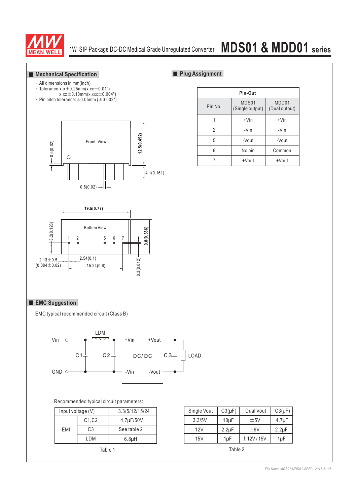

# 1W SIP Package DC-DC Medical Grade Unregulated Converter **MDS01 & MDD01 series**

#### **Mechanical Specification**

### All dimensions in mm(inch)

- $\cdot$  Tolerance:x.x $\pm$ 0.25mm(x.xx $\pm$ 0.01")
- $x.xx \pm 0.10$ mm $(x.xxx \pm 0.004")$ • Pin pitch tolerance:  $\pm 0.05$ mm ( $\pm 0.002"$ )
- 





**Plug Assignment** 



#### **EMC Suggestion**

EMC typical recommended circuit (Class B)



#### Recommended typical circuit parameters:

|                           | Input voltage (V) | 3.3/5/12/15/24 |        | Single Vout | $C3(\mu F)$ |  |
|---------------------------|-------------------|----------------|--------|-------------|-------------|--|
|                           | C1, C2            | 4.7µF/50V      | 3.3/5V | $10\mu F$   |             |  |
| EMI                       | C <sub>3</sub>    | See table 2    |        | 12V         | $2.2\mu F$  |  |
| LDM<br>6.8 <sub>µ</sub> H | 15V               | 1µF            |        |             |             |  |
|                           | Table 1           |                |        |             | Table 2     |  |

|     | Input voltage (V) | 3.3/5/12/15/24     | Single Vout | $C3(\mu F)$ | Dual Vout | $C3(\mu F)$ |
|-----|-------------------|--------------------|-------------|-------------|-----------|-------------|
|     | C1.C2             | 4.7µF/50V          | 3.3/5V      | 10uF        | ±5V       | $4.7 \mu F$ |
| EMI | C3                | See table 2        | 12V         | $2.2 \mu F$ | ±9V       | $2.2 \mu F$ |
|     | LDM               | 6.8 <sub>µ</sub> H | 15V         | 1uF         | ±12V/15V  | 1µF         |